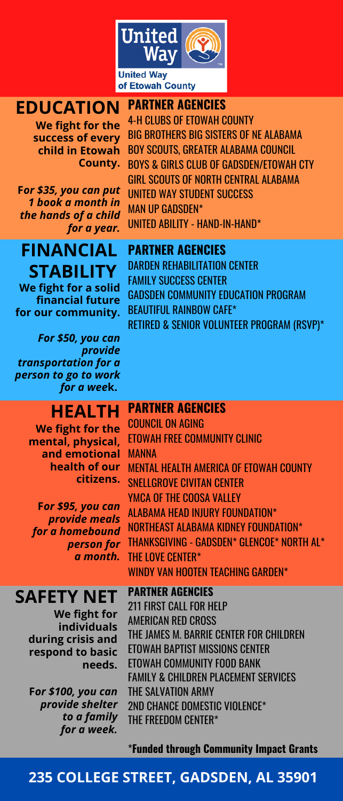

#### **PARTNER AGENCIES EDUCATION**

**We fight for the success of every child in Etowah County.**

**F***or \$35, you can put 1 book a month in the hands of a child for a year.*

4-H CLUBS OF ETOWAH COUNTY BIG BROTHERS BIG SISTERS OF NE ALABAMA BOY SCOUTS, GREATER ALABAMA COUNCIL BOYS & GIRLS CLUB OF GADSDEN/ETOWAH CTY GIRL SCOUTS OF NORTH CENTRAL ALABAMA UNITED WAY STUDENT SUCCESS MAN UP GADSDEN\* UNITED ABILITY - HAND-IN-HAND\*

### **FINANCIAL STABILITY**

**We fight for a solid financial future for our community.** **PARTNER AGENCIES** DARDEN REHABILITATION CENTER FAMILY SUCCESS CENTER GADSDEN COMMUNITY EDUCATION PROGRAM BEAUTIFUL RAINBOW CAFE\* RETIRED & SENIOR VOLUNTEER PROGRAM (RSVP)\*

*For \$50, you can provide transportation for a person to go to work for a wee***k.**

| <b>HEALTH</b><br>We fight for the<br>mental, physical,<br>and emotional<br>health of our<br>citizens.<br>For \$95, you can<br>provide meals<br>for a homebound<br>person for<br>a month. | <b>PARTNER AGENCIES</b><br><b>COUNCIL ON AGING</b><br>ETOWAH FREE COMMUNITY CLINIC<br><b>MANNA</b><br><b>MENTAL HEALTH AMERICA OF ETOWAH COUNTY</b><br><b>SNELLGROVE CIVITAN CENTER</b><br><b>YMCA OF THE COOSA VALLEY</b><br>ALABAMA HEAD INJURY FOUNDATION*<br>NORTHEAST ALABAMA KIDNEY FOUNDATION*<br>THANKSGIVING - GADSDEN* GLENCOE* NORTH AL*<br>THE LOVE CENTER*<br>WINDY VAN HOOTEN TEACHING GARDEN* |
|------------------------------------------------------------------------------------------------------------------------------------------------------------------------------------------|--------------------------------------------------------------------------------------------------------------------------------------------------------------------------------------------------------------------------------------------------------------------------------------------------------------------------------------------------------------------------------------------------------------|
| SAFETY NET                                                                                                                                                                               | <b>PARTNER AGENCIES</b>                                                                                                                                                                                                                                                                                                                                                                                      |
| We fight for                                                                                                                                                                             | 211 FIRST CALL FOR HFLP                                                                                                                                                                                                                                                                                                                                                                                      |
| individuals                                                                                                                                                                              | AMERICAN RED CROSS                                                                                                                                                                                                                                                                                                                                                                                           |
| during crisis and                                                                                                                                                                        | THE JAMES M. BARRIE CENTER FOR CHILDREN                                                                                                                                                                                                                                                                                                                                                                      |
| respond to basic                                                                                                                                                                         | ETOWAH BAPTIST MISSIONS CENTER                                                                                                                                                                                                                                                                                                                                                                               |
| needs.                                                                                                                                                                                   | ETOWAH COMMUNITY FOOD BANK                                                                                                                                                                                                                                                                                                                                                                                   |
| For \$100, you can                                                                                                                                                                       | <b>FAMILY &amp; CHILDREN PLACEMENT SERVICES</b>                                                                                                                                                                                                                                                                                                                                                              |
| provide shelter                                                                                                                                                                          | THE SALVATION ARMY                                                                                                                                                                                                                                                                                                                                                                                           |
| to a family                                                                                                                                                                              | 2ND CHANCE DOMESTIC VIOLENCE*                                                                                                                                                                                                                                                                                                                                                                                |
| for a week.                                                                                                                                                                              | THE FREEDOM CENTER*                                                                                                                                                                                                                                                                                                                                                                                          |

\***Funded through Community Impact Grants**

#### **235 COLLEGE STREET, GADSDEN, AL 35901**